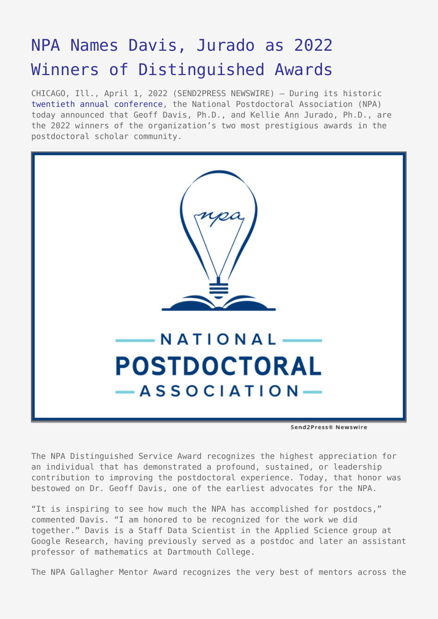## [NPA Names Davis, Jurado as 2022](https://www.send2press.com/wire/npa-names-davis-jurado-as-2022-winners-of-distinguished-awards/) [Winners of Distinguished Awards](https://www.send2press.com/wire/npa-names-davis-jurado-as-2022-winners-of-distinguished-awards/)

CHICAGO, Ill., April 1, 2022 (SEND2PRESS NEWSWIRE) — During its historic [twentieth annual conference](https://www.nationalpostdoc.org/page/2022AC), the National Postdoctoral Association (NPA) today announced that Geoff Davis, Ph.D., and Kellie Ann Jurado, Ph.D., are the 2022 winners of the organization's two most prestigious awards in the postdoctoral scholar community.



The NPA Distinguished Service Award recognizes the highest appreciation for an individual that has demonstrated a profound, sustained, or leadership contribution to improving the postdoctoral experience. Today, that honor was bestowed on Dr. Geoff Davis, one of the earliest advocates for the NPA.

"It is inspiring to see how much the NPA has accomplished for postdocs," commented Davis. "I am honored to be recognized for the work we did together." Davis is a Staff Data Scientist in the Applied Science group at Google Research, having previously served as a postdoc and later an assistant professor of mathematics at Dartmouth College.

The NPA Gallagher Mentor Award recognizes the very best of mentors across the